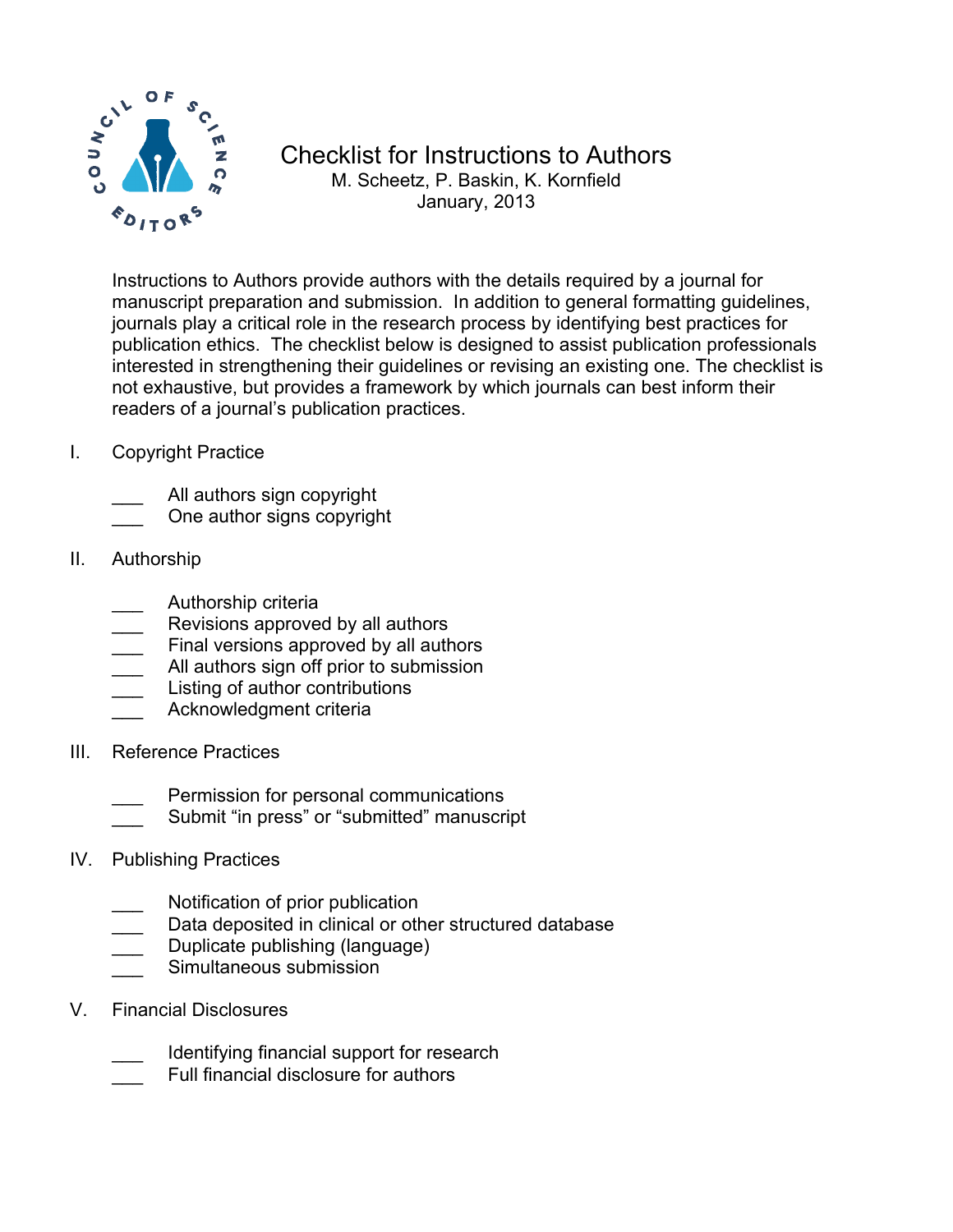

## Checklist for Instructions to Authors M. Scheetz, P. Baskin, K. Kornfield January, 2013

Instructions to Authors provide authors with the details required by a journal for manuscript preparation and submission. In addition to general formatting guidelines, journals play a critical role in the research process by identifying best practices for publication ethics. The checklist below is designed to assist publication professionals interested in strengthening their guidelines or revising an existing one. The checklist is not exhaustive, but provides a framework by which journals can best inform their readers of a journal's publication practices.

- I. Copyright Practice
	- All authors sign copyright
	- One author signs copyright
- II. Authorship
	- \_\_\_ Authorship criteria
	- Revisions approved by all authors
	- Final versions approved by all authors
	- All authors sign off prior to submission
	- Listing of author contributions
	- Acknowledgment criteria
- III. Reference Practices
	- Permission for personal communications
	- Submit "in press" or "submitted" manuscript
- IV. Publishing Practices
	- Notification of prior publication
	- Data deposited in clinical or other structured database
	- Duplicate publishing (language)
	- Simultaneous submission
- V. Financial Disclosures
	- Identifying financial support for research
	- Full financial disclosure for authors